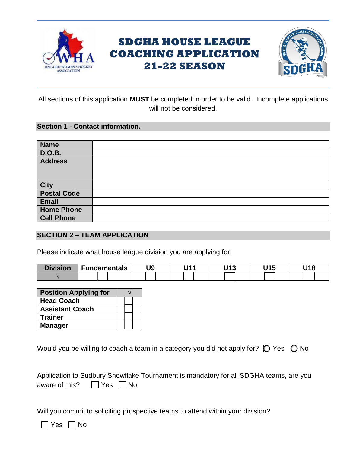

# **SDGHA HOUSE LEAGUE COACHING APPLICATION 21-22 SEASON**



All sections of this application **MUST** be completed in order to be valid. Incomplete applications will not be considered.

#### **Section 1 - Contact information.**

| <b>Name</b>         |  |
|---------------------|--|
| <b>D.O.B.</b>       |  |
| <b>Address</b>      |  |
|                     |  |
|                     |  |
| City<br>Postal Code |  |
| Email               |  |
| <b>Home Phone</b>   |  |
| <b>Cell Phone</b>   |  |

#### **SECTION 2 – TEAM APPLICATION**

Please indicate what house league division you are applying for.

| <b>Division</b> | Fundamentals | U9 | 14 | 1149<br>. . | 14 E |  |
|-----------------|--------------|----|----|-------------|------|--|
|                 |              |    |    |             |      |  |

| <b>Position Applying for</b> |  |  |  |
|------------------------------|--|--|--|
| <b>Head Coach</b>            |  |  |  |
| <b>Assistant Coach</b>       |  |  |  |
| <b>Trainer</b>               |  |  |  |
| <b>Manager</b>               |  |  |  |

Would you be willing to coach a team in a category you did not apply for?  $\Box$  Yes  $\Box$  No

|                                     | Application to Sudbury Snowflake Tournament is mandatory for all SDGHA teams, are you |  |
|-------------------------------------|---------------------------------------------------------------------------------------|--|
| aware of this? $\Box$ Yes $\Box$ No |                                                                                       |  |

Will you commit to soliciting prospective teams to attend within your division?

 $\Box$  Yes  $\Box$  No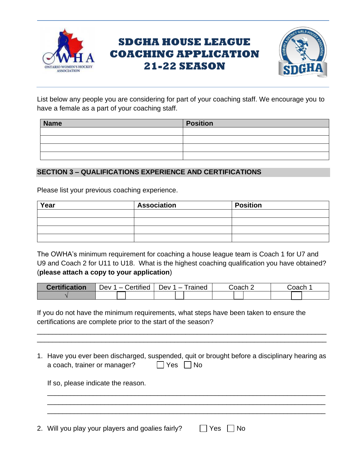

# **SDGHA HOUSE LEAGUE COACHING APPLICATION 21-22 SEASON**



List below any people you are considering for part of your coaching staff. We encourage you to have a female as a part of your coaching staff.

| <b>Name</b> | <b>Position</b> |
|-------------|-----------------|
|             |                 |
|             |                 |
|             |                 |
|             |                 |

### **SECTION 3 – QUALIFICATIONS EXPERIENCE AND CERTIFICATIONS**

Please list your previous coaching experience.

| Year | Association | <b>Position</b> |
|------|-------------|-----------------|
|      |             |                 |
|      |             |                 |
|      |             |                 |
|      |             |                 |

The OWHA's minimum requirement for coaching a house league team is Coach 1 for U7 and U9 and Coach 2 for U11 to U18. What is the highest coaching qualification you have obtained? (**please attach a copy to your application**)

| <b>Certification</b> | Dev 1 – Certified | rained<br>n)ev 1<br>$\overline{\phantom{0}}$ | `∩ach : | Joach |
|----------------------|-------------------|----------------------------------------------|---------|-------|
|                      |                   |                                              |         |       |

If you do not have the minimum requirements, what steps have been taken to ensure the certifications are complete prior to the start of the season?

1. Have you ever been discharged, suspended, quit or brought before a disciplinary hearing as a coach, trainer or manager?  $\Box$  Yes  $\Box$  No

\_\_\_\_\_\_\_\_\_\_\_\_\_\_\_\_\_\_\_\_\_\_\_\_\_\_\_\_\_\_\_\_\_\_\_\_\_\_\_\_\_\_\_\_\_\_\_\_\_\_\_\_\_\_\_\_\_\_\_\_\_\_\_\_\_\_\_\_\_\_\_\_\_ \_\_\_\_\_\_\_\_\_\_\_\_\_\_\_\_\_\_\_\_\_\_\_\_\_\_\_\_\_\_\_\_\_\_\_\_\_\_\_\_\_\_\_\_\_\_\_\_\_\_\_\_\_\_\_\_\_\_\_\_\_\_\_\_\_\_\_\_\_\_\_\_\_ \_\_\_\_\_\_\_\_\_\_\_\_\_\_\_\_\_\_\_\_\_\_\_\_\_\_\_\_\_\_\_\_\_\_\_\_\_\_\_\_\_\_\_\_\_\_\_\_\_\_\_\_\_\_\_\_\_\_\_\_\_\_\_\_\_\_\_\_\_\_\_\_\_

\_\_\_\_\_\_\_\_\_\_\_\_\_\_\_\_\_\_\_\_\_\_\_\_\_\_\_\_\_\_\_\_\_\_\_\_\_\_\_\_\_\_\_\_\_\_\_\_\_\_\_\_\_\_\_\_\_\_\_\_\_\_\_\_\_\_\_\_\_\_\_\_\_\_\_\_ \_\_\_\_\_\_\_\_\_\_\_\_\_\_\_\_\_\_\_\_\_\_\_\_\_\_\_\_\_\_\_\_\_\_\_\_\_\_\_\_\_\_\_\_\_\_\_\_\_\_\_\_\_\_\_\_\_\_\_\_\_\_\_\_\_\_\_\_\_\_\_\_\_\_\_\_

If so, please indicate the reason.

2. Will you play your players and goalies fairly?  $\Box$  Yes  $\Box$  No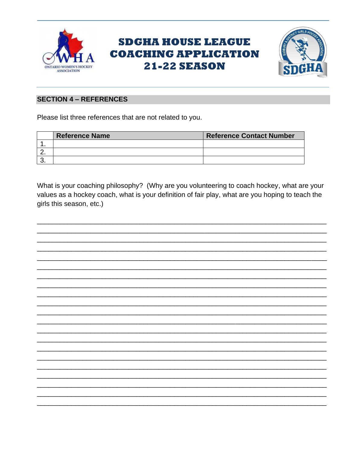

# **SDGHA HOUSE LEAGUE COACHING APPLICATION 21-22 SEASON**



### **SECTION 4 - REFERENCES**

Please list three references that are not related to you.

|          | <b>Reference Name</b> | <b>Reference Contact Number</b> |
|----------|-----------------------|---------------------------------|
|          |                       |                                 |
| <u>.</u> |                       |                                 |
| J.       |                       |                                 |

What is your coaching philosophy? (Why are you volunteering to coach hockey, what are your values as a hockey coach, what is your definition of fair play, what are you hoping to teach the girls this season, etc.)